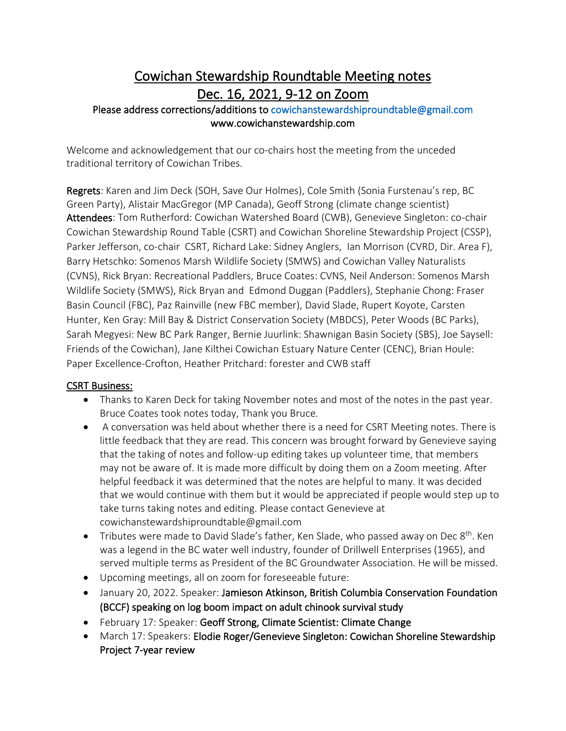# Cowichan Stewardship Roundtable Meeting notes Dec. 16, 2021, 9-12 on Zoom

### Please address corrections/additions to [cowichanstewardshiproundtable@gmail.com](mailto:cowichanstewardshiproundtable@gmail.com)  www.cowichanstewardship.com

Welcome and acknowledgement that our co-chairs host the meeting from the unceded traditional territory of Cowichan Tribes.

Regrets: Karen and Jim Deck (SOH, Save Our Holmes), Cole Smith (Sonia Furstenau's rep, BC Green Party), Alistair MacGregor (MP Canada), Geoff Strong (climate change scientist) Attendees: Tom Rutherford: Cowichan Watershed Board (CWB), Genevieve Singleton: co-chair Cowichan Stewardship Round Table (CSRT) and Cowichan Shoreline Stewardship Project (CSSP), Parker Jefferson, co-chair CSRT, Richard Lake: Sidney Anglers, Ian Morrison (CVRD, Dir. Area F), Barry Hetschko: Somenos Marsh Wildlife Society (SMWS) and Cowichan Valley Naturalists (CVNS), Rick Bryan: Recreational Paddlers, Bruce Coates: CVNS, Neil Anderson: Somenos Marsh Wildlife Society (SMWS), Rick Bryan and Edmond Duggan (Paddlers), Stephanie Chong: Fraser Basin Council (FBC), Paz Rainville (new FBC member), David Slade, Rupert Koyote, Carsten Hunter, Ken Gray: Mill Bay & District Conservation Society (MBDCS), Peter Woods (BC Parks), Sarah Megyesi: New BC Park Ranger, Bernie Juurlink: Shawnigan Basin Society (SBS), Joe Saysell: Friends of the Cowichan), Jane Kilthei Cowichan Estuary Nature Center (CENC), Brian Houle: Paper Excellence-Crofton, Heather Pritchard: forester and CWB staff

### CSRT Business:

- Thanks to Karen Deck for taking November notes and most of the notes in the past year. Bruce Coates took notes today, Thank you Bruce.
- A conversation was held about whether there is a need for CSRT Meeting notes. There is little feedback that they are read. This concern was brought forward by Genevieve saying that the taking of notes and follow-up editing takes up volunteer time, that members may not be aware of. It is made more difficult by doing them on a Zoom meeting. After helpful feedback it was determined that the notes are helpful to many. It was decided that we would continue with them but it would be appreciated if people would step up to take turns taking notes and editing. Please contact Genevieve at cowichanstewardshiproundtable@gmail.com
- Tributes were made to David Slade's father, Ken Slade, who passed away on Dec 8<sup>th</sup>. Ken was a legend in the BC water well industry, founder of Drillwell Enterprises (1965), and served multiple terms as President of the BC Groundwater Association. He will be missed.
- Upcoming meetings, all on zoom for foreseeable future:
- January 20, 2022. Speaker: Jamieson Atkinson, British Columbia Conservation Foundation (BCCF) speaking on log boom impact on adult chinook survival study
- February 17: Speaker: Geoff Strong, Climate Scientist: Climate Change
- March 17: Speakers: Elodie Roger/Genevieve Singleton: Cowichan Shoreline Stewardship Project 7-year review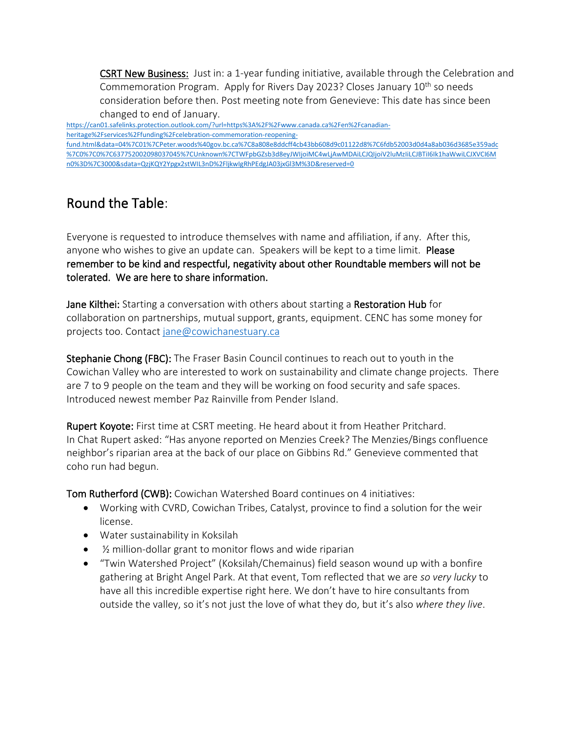CSRT New Business: Just in: a 1-year funding initiative, available through the Celebration and Commemoration Program. Apply for Rivers Day 2023? Closes January 10<sup>th</sup> so needs consideration before then. Post meeting note from Genevieve: This date has since been changed to end of January.

[https://can01.safelinks.protection.outlook.com/?url=https%3A%2F%2Fwww.canada.ca%2Fen%2Fcanadian](https://can01.safelinks.protection.outlook.com/?url=https%3A%2F%2Fwww.canada.ca%2Fen%2Fcanadian-heritage%2Fservices%2Ffunding%2Fcelebration-commemoration-reopening-fund.html&data=04%7C01%7CPeter.woods%40gov.bc.ca%7C8a808e8ddcff4cb43bb608d9c01122d8%7C6fdb52003d0d4a8ab036d3685e359adc%7C0%7C0%7C637752002098037045%7CUnknown%7CTWFpbGZsb3d8eyJWIjoiMC4wLjAwMDAiLCJQIjoiV2luMzIiLCJBTiI6Ik1haWwiLCJXVCI6Mn0%3D%7C3000&sdata=QzjKQY2Ypgx2stWIL3nD%2FljkwIgRhPEdgJA03jxGl3M%3D&reserved=0)[heritage%2Fservices%2Ffunding%2Fcelebration-commemoration-reopening](https://can01.safelinks.protection.outlook.com/?url=https%3A%2F%2Fwww.canada.ca%2Fen%2Fcanadian-heritage%2Fservices%2Ffunding%2Fcelebration-commemoration-reopening-fund.html&data=04%7C01%7CPeter.woods%40gov.bc.ca%7C8a808e8ddcff4cb43bb608d9c01122d8%7C6fdb52003d0d4a8ab036d3685e359adc%7C0%7C0%7C637752002098037045%7CUnknown%7CTWFpbGZsb3d8eyJWIjoiMC4wLjAwMDAiLCJQIjoiV2luMzIiLCJBTiI6Ik1haWwiLCJXVCI6Mn0%3D%7C3000&sdata=QzjKQY2Ypgx2stWIL3nD%2FljkwIgRhPEdgJA03jxGl3M%3D&reserved=0)[fund.html&data=04%7C01%7CPeter.woods%40gov.bc.ca%7C8a808e8ddcff4cb43bb608d9c01122d8%7C6fdb52003d0d4a8ab036d3685e359adc](https://can01.safelinks.protection.outlook.com/?url=https%3A%2F%2Fwww.canada.ca%2Fen%2Fcanadian-heritage%2Fservices%2Ffunding%2Fcelebration-commemoration-reopening-fund.html&data=04%7C01%7CPeter.woods%40gov.bc.ca%7C8a808e8ddcff4cb43bb608d9c01122d8%7C6fdb52003d0d4a8ab036d3685e359adc%7C0%7C0%7C637752002098037045%7CUnknown%7CTWFpbGZsb3d8eyJWIjoiMC4wLjAwMDAiLCJQIjoiV2luMzIiLCJBTiI6Ik1haWwiLCJXVCI6Mn0%3D%7C3000&sdata=QzjKQY2Ypgx2stWIL3nD%2FljkwIgRhPEdgJA03jxGl3M%3D&reserved=0) [%7C0%7C0%7C637752002098037045%7CUnknown%7CTWFpbGZsb3d8eyJWIjoiMC4wLjAwMDAiLCJQIjoiV2luMzIiLCJBTiI6Ik1haWwiLCJXVCI6M](https://can01.safelinks.protection.outlook.com/?url=https%3A%2F%2Fwww.canada.ca%2Fen%2Fcanadian-heritage%2Fservices%2Ffunding%2Fcelebration-commemoration-reopening-fund.html&data=04%7C01%7CPeter.woods%40gov.bc.ca%7C8a808e8ddcff4cb43bb608d9c01122d8%7C6fdb52003d0d4a8ab036d3685e359adc%7C0%7C0%7C637752002098037045%7CUnknown%7CTWFpbGZsb3d8eyJWIjoiMC4wLjAwMDAiLCJQIjoiV2luMzIiLCJBTiI6Ik1haWwiLCJXVCI6Mn0%3D%7C3000&sdata=QzjKQY2Ypgx2stWIL3nD%2FljkwIgRhPEdgJA03jxGl3M%3D&reserved=0) [n0%3D%7C3000&sdata=QzjKQY2Ypgx2stWIL3nD%2FljkwIgRhPEdgJA03jxGl3M%3D&reserved=0](https://can01.safelinks.protection.outlook.com/?url=https%3A%2F%2Fwww.canada.ca%2Fen%2Fcanadian-heritage%2Fservices%2Ffunding%2Fcelebration-commemoration-reopening-fund.html&data=04%7C01%7CPeter.woods%40gov.bc.ca%7C8a808e8ddcff4cb43bb608d9c01122d8%7C6fdb52003d0d4a8ab036d3685e359adc%7C0%7C0%7C637752002098037045%7CUnknown%7CTWFpbGZsb3d8eyJWIjoiMC4wLjAwMDAiLCJQIjoiV2luMzIiLCJBTiI6Ik1haWwiLCJXVCI6Mn0%3D%7C3000&sdata=QzjKQY2Ypgx2stWIL3nD%2FljkwIgRhPEdgJA03jxGl3M%3D&reserved=0)

## Round the Table:

Everyone is requested to introduce themselves with name and affiliation, if any. After this, anyone who wishes to give an update can. Speakers will be kept to a time limit. Please remember to be kind and respectful, negativity about other Roundtable members will not be tolerated. We are here to share information.

Jane Kilthei: Starting a conversation with others about starting a Restoration Hub for collaboration on partnerships, mutual support, grants, equipment. CENC has some money for projects too. Contact [jane@cowichanestuary.ca](mailto:jane@cowichanestuary.ca)

Stephanie Chong (FBC): The Fraser Basin Council continues to reach out to youth in the Cowichan Valley who are interested to work on sustainability and climate change projects. There are 7 to 9 people on the team and they will be working on food security and safe spaces. Introduced newest member Paz Rainville from Pender Island.

Rupert Koyote: First time at CSRT meeting. He heard about it from Heather Pritchard. In Chat Rupert asked: "Has anyone reported on Menzies Creek? The Menzies/Bings confluence neighbor's riparian area at the back of our place on Gibbins Rd." Genevieve commented that coho run had begun.

Tom Rutherford (CWB): Cowichan Watershed Board continues on 4 initiatives:

- Working with CVRD, Cowichan Tribes, Catalyst, province to find a solution for the weir license.
- Water sustainability in Koksilah
- 1/<sub>2</sub> million-dollar grant to monitor flows and wide riparian
- "Twin Watershed Project" (Koksilah/Chemainus) field season wound up with a bonfire gathering at Bright Angel Park. At that event, Tom reflected that we are *so very lucky* to have all this incredible expertise right here. We don't have to hire consultants from outside the valley, so it's not just the love of what they do, but it's also *where they live*.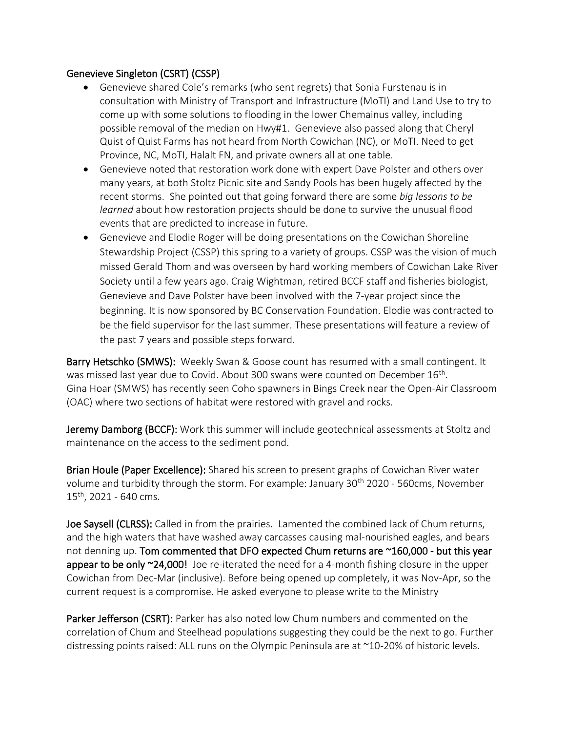### Genevieve Singleton (CSRT) (CSSP)

- Genevieve shared Cole's remarks (who sent regrets) that Sonia Furstenau is in consultation with Ministry of Transport and Infrastructure (MoTI) and Land Use to try to come up with some solutions to flooding in the lower Chemainus valley, including possible removal of the median on Hwy#1. Genevieve also passed along that Cheryl Quist of Quist Farms has not heard from North Cowichan (NC), or MoTI. Need to get Province, NC, MoTI, Halalt FN, and private owners all at one table.
- Genevieve noted that restoration work done with expert Dave Polster and others over many years, at both Stoltz Picnic site and Sandy Pools has been hugely affected by the recent storms. She pointed out that going forward there are some *big lessons to be learned* about how restoration projects should be done to survive the unusual flood events that are predicted to increase in future.
- Genevieve and Elodie Roger will be doing presentations on the Cowichan Shoreline Stewardship Project (CSSP) this spring to a variety of groups. CSSP was the vision of much missed Gerald Thom and was overseen by hard working members of Cowichan Lake River Society until a few years ago. Craig Wightman, retired BCCF staff and fisheries biologist, Genevieve and Dave Polster have been involved with the 7-year project since the beginning. It is now sponsored by BC Conservation Foundation. Elodie was contracted to be the field supervisor for the last summer. These presentations will feature a review of the past 7 years and possible steps forward.

Barry Hetschko (SMWS): Weekly Swan & Goose count has resumed with a small contingent. It was missed last year due to Covid. About 300 swans were counted on December  $16^\text{th}$ . Gina Hoar (SMWS) has recently seen Coho spawners in Bings Creek near the Open-Air Classroom (OAC) where two sections of habitat were restored with gravel and rocks.

Jeremy Damborg (BCCF): Work this summer will include geotechnical assessments at Stoltz and maintenance on the access to the sediment pond.

Brian Houle (Paper Excellence): Shared his screen to present graphs of Cowichan River water volume and turbidity through the storm. For example: January 30<sup>th</sup> 2020 - 560cms, November  $15^{th}$ , 2021 - 640 cms.

Joe Saysell (CLRSS): Called in from the prairies. Lamented the combined lack of Chum returns, and the high waters that have washed away carcasses causing mal-nourished eagles, and bears not denning up. Tom commented that DFO expected Chum returns are ~160,000 - but this year appear to be only ~24,000! Joe re-iterated the need for a 4-month fishing closure in the upper Cowichan from Dec-Mar (inclusive). Before being opened up completely, it was Nov-Apr, so the current request is a compromise. He asked everyone to please write to the Ministry

Parker Jefferson (CSRT): Parker has also noted low Chum numbers and commented on the correlation of Chum and Steelhead populations suggesting they could be the next to go. Further distressing points raised: ALL runs on the Olympic Peninsula are at ~10-20% of historic levels.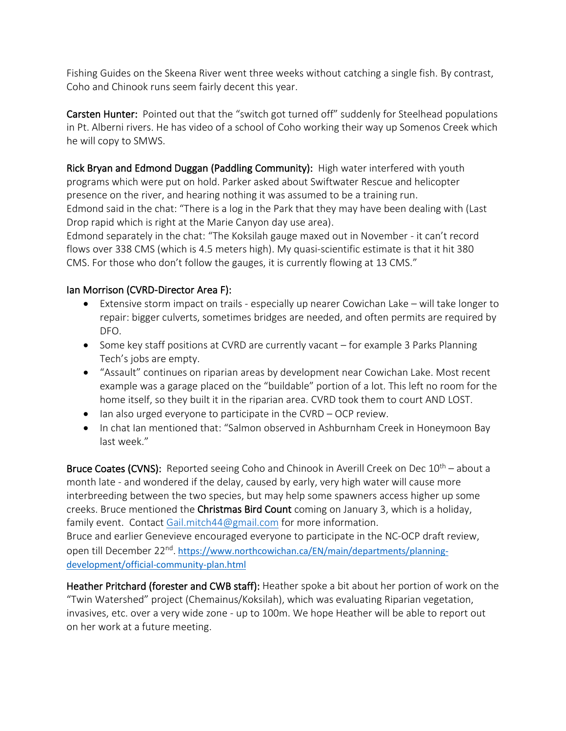Fishing Guides on the Skeena River went three weeks without catching a single fish. By contrast, Coho and Chinook runs seem fairly decent this year.

Carsten Hunter: Pointed out that the "switch got turned off" suddenly for Steelhead populations in Pt. Alberni rivers. He has video of a school of Coho working their way up Somenos Creek which he will copy to SMWS.

Rick Bryan and Edmond Duggan (Paddling Community): High water interfered with youth programs which were put on hold. Parker asked about Swiftwater Rescue and helicopter presence on the river, and hearing nothing it was assumed to be a training run. Edmond said in the chat: "There is a log in the Park that they may have been dealing with (Last Drop rapid which is right at the Marie Canyon day use area).

Edmond separately in the chat: "The Koksilah gauge maxed out in November - it can't record flows over 338 CMS (which is 4.5 meters high). My quasi-scientific estimate is that it hit 380 CMS. For those who don't follow the gauges, it is currently flowing at 13 CMS."

### Ian Morrison (CVRD-Director Area F):

- Extensive storm impact on trails especially up nearer Cowichan Lake will take longer to repair: bigger culverts, sometimes bridges are needed, and often permits are required by DFO.
- Some key staff positions at CVRD are currently vacant for example 3 Parks Planning Tech's jobs are empty.
- "Assault" continues on riparian areas by development near Cowichan Lake. Most recent example was a garage placed on the "buildable" portion of a lot. This left no room for the home itself, so they built it in the riparian area. CVRD took them to court AND LOST.
- Ian also urged everyone to participate in the CVRD OCP review.
- In chat Ian mentioned that: "Salmon observed in Ashburnham Creek in Honeymoon Bay last week."

**Bruce Coates (CVNS):** Reported seeing Coho and Chinook in Averill Creek on Dec  $10<sup>th</sup>$  – about a month late - and wondered if the delay, caused by early, very high water will cause more interbreeding between the two species, but may help some spawners access higher up some creeks. Bruce mentioned the Christmas Bird Count coming on January 3, which is a holiday, family event. Contact [Gail.mitch44@gmail.com](mailto:Gail.mitch44@gmail.com) for more information. Bruce and earlier Genevieve encouraged everyone to participate in the NC-OCP draft review, open till December 22<sup>nd</sup>. [https://www.northcowichan.ca/EN/main/departments/planning](https://www.northcowichan.ca/EN/main/departments/planning-development/official-community-plan.html)[development/official-community-plan.html](https://www.northcowichan.ca/EN/main/departments/planning-development/official-community-plan.html)

Heather Pritchard (forester and CWB staff): Heather spoke a bit about her portion of work on the "Twin Watershed" project (Chemainus/Koksilah), which was evaluating Riparian vegetation, invasives, etc. over a very wide zone - up to 100m. We hope Heather will be able to report out on her work at a future meeting.